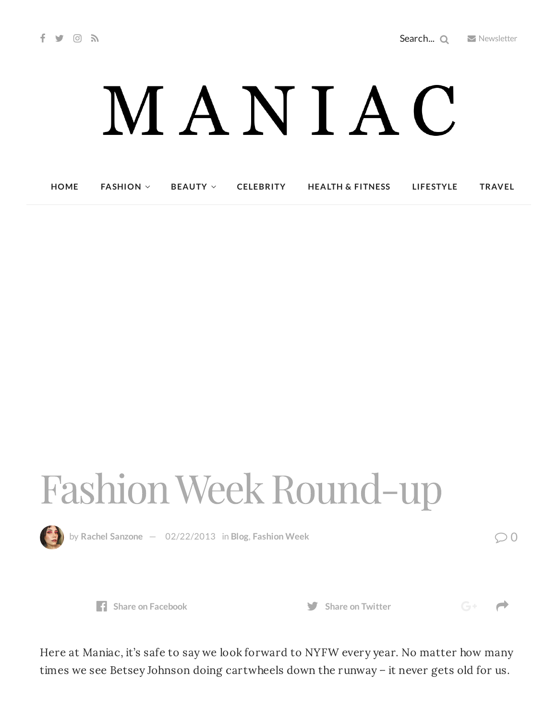## MANIAC

**[HOME](http://maniacmagazine.com/) [FASHION](http://maniacmagazine.com/fashion/) [BEAUTY](http://maniacmagazine.com/beauty/) [CELEBRITY](http://maniacmagazine.com/celebrity/) HEALTH & [FITNESS](http://maniacmagazine.com/beauty/health-and-fitness/) [LIFESTYLE](http://maniacmagazine.com/lifestyle/) [TRAVEL](http://maniacmagazine.com/life/travel/)**

## Fashion Week Round-up



by Rachel [Sanzone](http://maniacmagazine.com/author/rachel/)  $-$  [02/22/2013](http://maniacmagazine.com/blog/fashion-week-round-up-2013-edition/) in [Blog](http://maniacmagazine.com/blog/), [Fashion](http://maniacmagazine.com/fashion/fashion-week/) Week  $\bigcirc$  0

 $G^+$   $\rightarrow$ 



Here at Maniac, it's safe to say we look forward to NYFW every year. No matter how many times we see Betsey Johnson doing cartwheels down the runway – it never gets old for us.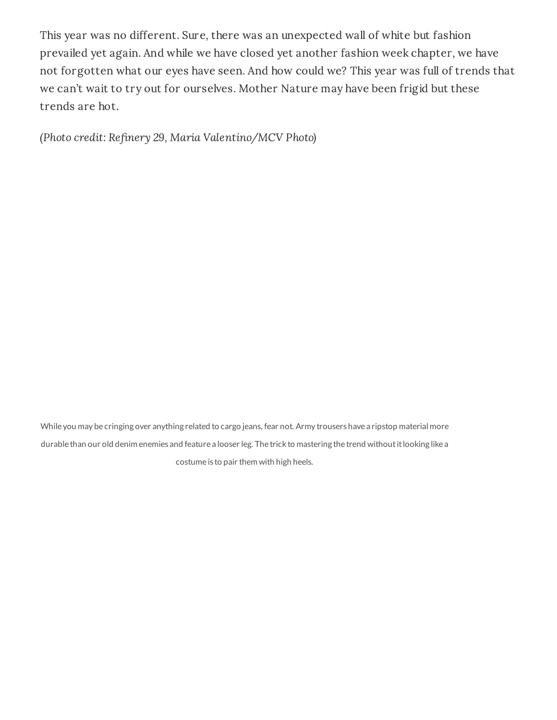This year was no different. Sure, there was an unexpected wall of white but fashion prevailed yet again. And while we have closed yet another fashion week chapter, we have not forgotten what our eyes have seen. And how could we? This year was full of trends that we can't wait to try out for ourselves. Mother Nature may have been frigid but these trends are hot.

(Photo credit: Refinery 29, Maria Valentino/MCV Photo)



While you may be cringing over anything related to cargo jeans, fear not. Army trousers have a ripstop material more durable than our old denim enemies and feature a looser leg. The trick to mastering the trend without it looking like a costume is to pair them with high heels.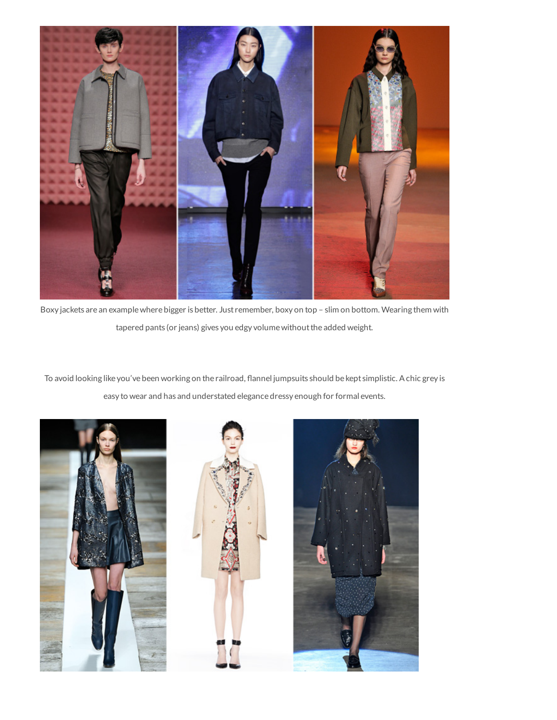

Boxy jackets are an examplewhere bigger is better. Just remember, boxy on top – slim on bottom. Wearing them with tapered pants (or jeans) gives you edgy volume without the added weight.

To avoid looking like you've been working on the railroad, flannel jumpsuits should be kept simplistic. A chic grey is easy to wear and has and understated elegance dressy enough for formal events.

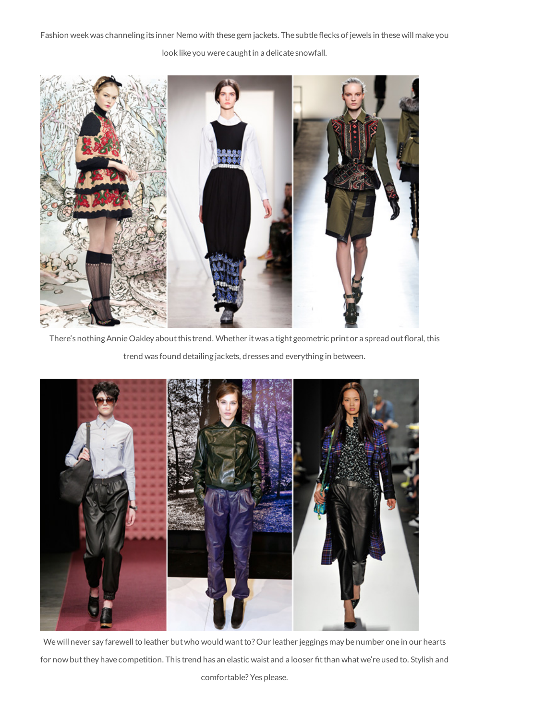Fashion week was channeling its inner Nemo with these gem jackets. The subtle flecks of jewels in these will make you

look like you were caught in a delicate snowfall.



There's nothing Annie Oakley about this trend. Whether it was a tight geometric print or a spread out floral, this

trend was found detailing jackets, dresses and everything in between.



We will never say farewell to leather but who would want to? Our leather jeggings may be number one in our hearts for now but they have competition. This trend has an elastic waist and a looser fit than what we're used to. Stylish and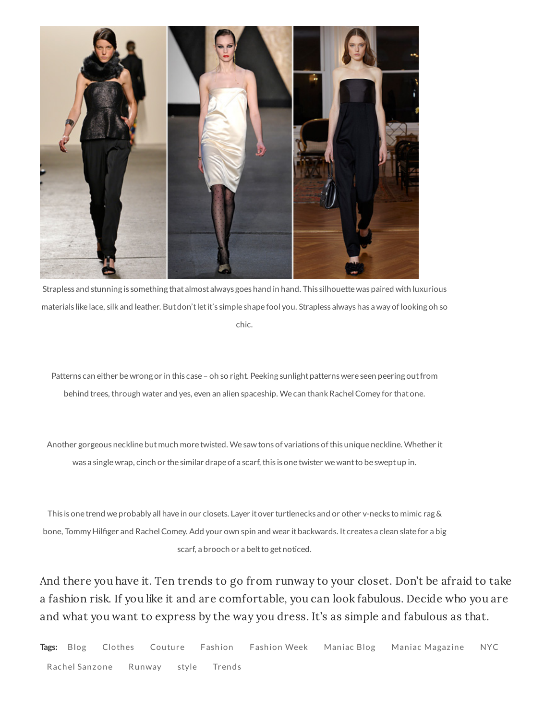

Strapless and stunning is something that almost always goes hand in hand. This silhouette was paired with luxurious materials like lace, silk and leather. Butdon'tletit's simple shape fool you. Strapless always has a way oflooking oh so chic.

Patterns can either be wrong or in this case - oh so right. Peeking sunlight patterns were seen peering out from behind trees, through water and yes, even an alien spaceship. We can thank Rachel Comey for that one.

Another gorgeous neckline but much more twisted. We saw tons of variations of this unique neckline. Whether it was a singlewrap, cinch or the similar drape of a scarf, this is one twister wewantto be sweptup in.

This is one trend we probably all have in our closets. Layer it over turtlenecks and or other v-necks to mimic rag & bone, Tommy Hilger and RachelComey. Add your own spin and wear itbackwards. It creates a clean slate for a big scarf, a brooch or a belt to get noticed.

And there you have it. Ten trends to go from runway to your closet. Don't be afraid to take a fashion risk. If you like it and are comfortable, you can look fabulous. Decide who you are and what you want to express by the way you dress. It's as simple and fabulous as that.

**Tags:** [Blog](http://maniacmagazine.com/tag/blog/) [Clothes](http://maniacmagazine.com/tag/clothes/) [Couture](http://maniacmagazine.com/tag/couture/) [Fashion](http://maniacmagazine.com/tag/fashion-week/) Fashion Week [Maniac](http://maniacmagazine.com/tag/maniac-magazine/) Blog Maniac Magazine [NYC](http://maniacmagazine.com/tag/nyc/) Rachel [Sanzone](http://maniacmagazine.com/tag/rachel-sanzone/) [Runway](http://maniacmagazine.com/tag/runway/) [style](http://maniacmagazine.com/tag/style/) [Trends](http://maniacmagazine.com/tag/trends/)